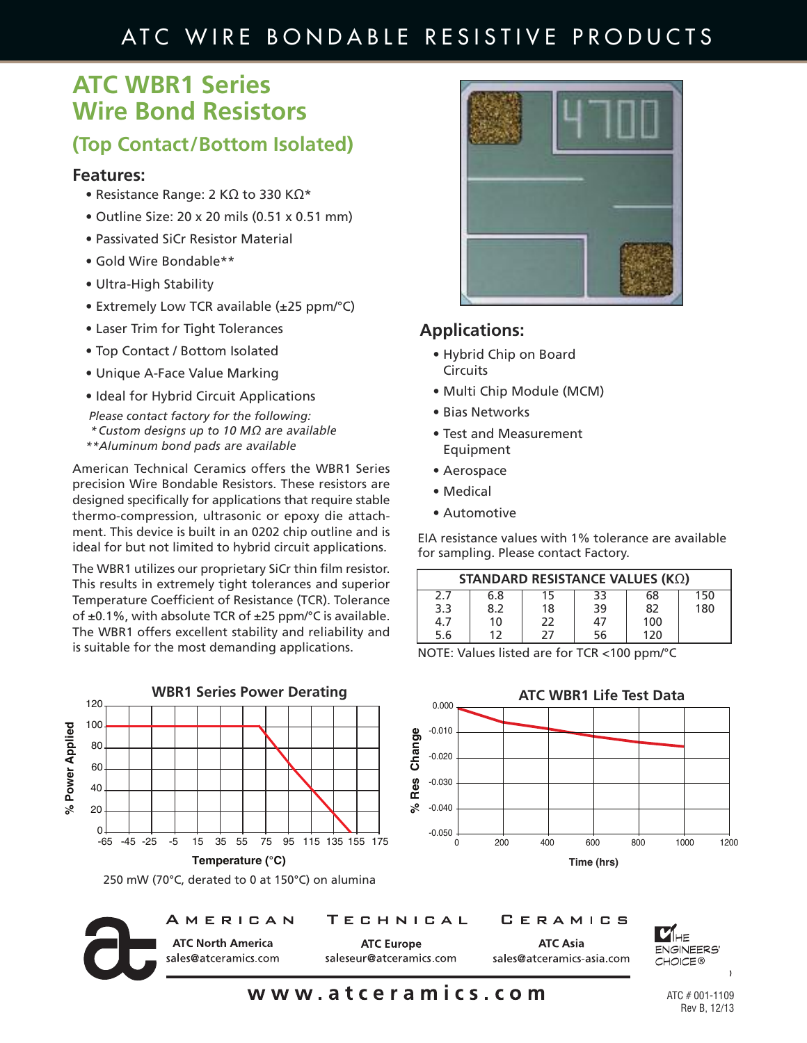## ATC WIRE BONDABLE RESISTIVE PRODUCTS

## **ATC WBR1 Series Wire Bond Resistors**

### **(Top Contact/Bottom Isolated)**

#### **Features:**

- Resistance Range: 2 KΩ to 330 KΩ\*
- Outline Size: 20 x 20 mils (0.51 x 0.51 mm)
- Passivated SiCr Resistor Material
- Gold Wire Bondable\*\*
- Ultra-High Stability
- Extremely Low TCR available (±25 ppm/°C)
- Laser Trim for Tight Tolerances
- Top Contact / Bottom Isolated
- Unique A-Face Value Marking
- Ideal for Hybrid Circuit Applications

*Please contact factory for the following: \*Custom designs up to 10 M*Ω are available *\*\*Aluminum bond pads* are available

American Technical Ceramics offers the WBR1 Series precision Wire Bondable Resistors. These resistors are designed specifically for applications that require stable thermo-compression, ultrasonic or epoxy die attachment. This device is built in an 0202 chip outline and is ideal for but not limited to hybrid circuit applications.

The WBR1 utilizes our proprietary SiCr thin film resistor. This results in extremely tight tolerances and superior Temperature Coefficient of Resistance (TCR). Tolerance of  $\pm 0.1$ %, with absolute TCR of  $\pm 25$  ppm/°C is available. The WBR1 offers excellent stability and reliability and is suitable for the most demanding applications.



250 mW (70°C, derated to 0 at 150°C) on alumina



AMERICAN

TECHNICAL

**ATC North America ATC Europe** sales@atceramics.com saleseur@atceramics.com



### **Applications:**

- Hybrid Chip on Board **Circuits**
- Multi Chip Module (MCM)
- Bias Networks
- Test and Measurement Equipment
- Aerospace
- Medical
- Automotive

EIA resistance values with 1% tolerance are available for sampling. Please contact Factory.

| STANDARD RESISTANCE VALUES (ΚΩ) |     |    |    |     |     |  |
|---------------------------------|-----|----|----|-----|-----|--|
| 2.7                             | 6.8 | 15 | 33 | 68  | 150 |  |
| 3.3                             | 8.2 | 18 | 39 | 82  | 180 |  |
| 4.7                             | 10  | 22 | 47 | 100 |     |  |
| 5.6                             | 1 フ | 27 | 56 | 120 |     |  |

NOTE: Values listed are for TCR <100 ppm/°C



CERAMICS

**ATC Asia** 

sales@atceramics-asia.com



www.atceramics.com

ATC # 001-1109 Rev B, 12/13